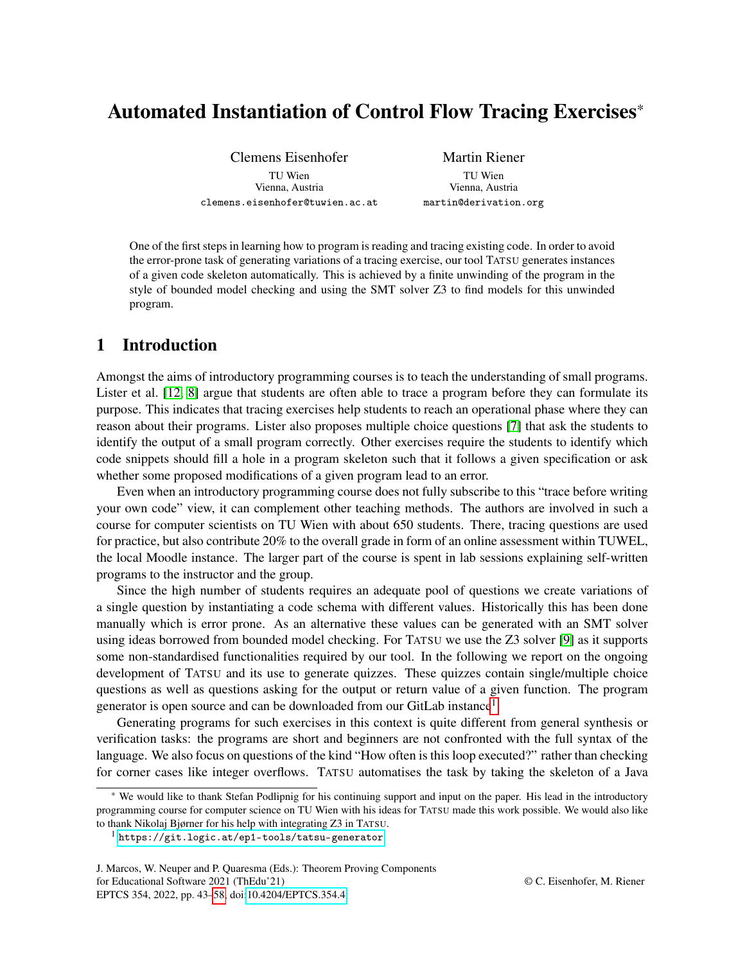# Automated Instantiation of Control Flow Tracing Exercises\*

Clemens Eisenhofer TU Wien Vienna, Austria clemens.eisenhofer@tuwien.ac.at

Martin Riener TU Wien Vienna, Austria martin@derivation.org

One of the first steps in learning how to program is reading and tracing existing code. In order to avoid the error-prone task of generating variations of a tracing exercise, our tool TATSU generates instances of a given code skeleton automatically. This is achieved by a finite unwinding of the program in the style of bounded model checking and using the SMT solver Z3 to find models for this unwinded program.

# 1 Introduction

Amongst the aims of introductory programming courses is to teach the understanding of small programs. Lister et al. [\[12,](#page-11-0) [8\]](#page-11-1) argue that students are often able to trace a program before they can formulate its purpose. This indicates that tracing exercises help students to reach an operational phase where they can reason about their programs. Lister also proposes multiple choice questions [\[7\]](#page-11-2) that ask the students to identify the output of a small program correctly. Other exercises require the students to identify which code snippets should fill a hole in a program skeleton such that it follows a given specification or ask whether some proposed modifications of a given program lead to an error.

Even when an introductory programming course does not fully subscribe to this "trace before writing your own code" view, it can complement other teaching methods. The authors are involved in such a course for computer scientists on TU Wien with about 650 students. There, tracing questions are used for practice, but also contribute 20% to the overall grade in form of an online assessment within TUWEL, the local Moodle instance. The larger part of the course is spent in lab sessions explaining self-written programs to the instructor and the group.

Since the high number of students requires an adequate pool of questions we create variations of a single question by instantiating a code schema with different values. Historically this has been done manually which is error prone. As an alternative these values can be generated with an SMT solver using ideas borrowed from bounded model checking. For TATSU we use the Z3 solver [\[9\]](#page-11-3) as it supports some non-standardised functionalities required by our tool. In the following we report on the ongoing development of TATSU and its use to generate quizzes. These quizzes contain single/multiple choice questions as well as questions asking for the output or return value of a given function. The program generator is open source and can be downloaded from our GitLab instance<sup>[1](#page-0-0)</sup>.

Generating programs for such exercises in this context is quite different from general synthesis or verification tasks: the programs are short and beginners are not confronted with the full syntax of the language. We also focus on questions of the kind "How often is this loop executed?" rather than checking for corner cases like integer overflows. TATSU automatises the task by taking the skeleton of a Java

<sup>\*</sup> We would like to thank Stefan Podlipnig for his continuing support and input on the paper. His lead in the introductory programming course for computer science on TU Wien with his ideas for TATSU made this work possible. We would also like to thank Nikolaj Bjørner for his help with integrating Z3 in TATSU.

<span id="page-0-0"></span><sup>1</sup> <https://git.logic.at/ep1-tools/tatsu-generator>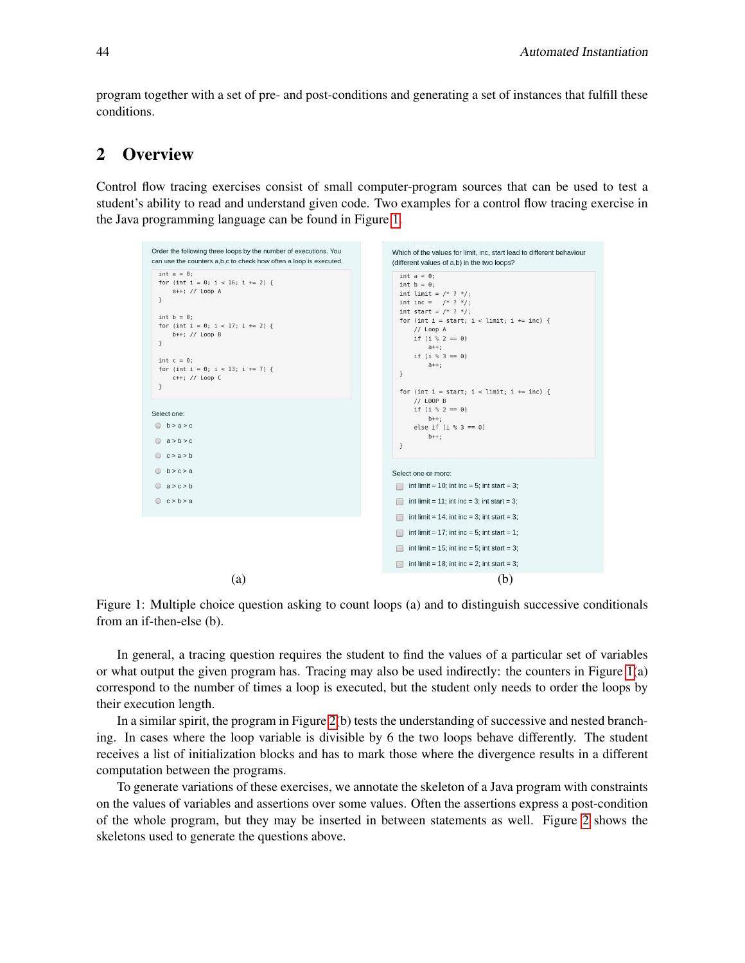program together with a set of pre- and post-conditions and generating a set of instances that fulfill these conditions.

# 2 Overview

Control flow tracing exercises consist of small computer-program sources that can be used to test a student's ability to read and understand given code. Two examples for a control flow tracing exercise in the Java programming language can be found in Figure [1.](#page-1-0)

<span id="page-1-0"></span>

Figure 1: Multiple choice question asking to count loops (a) and to distinguish successive conditionals from an if-then-else (b).

In general, a tracing question requires the student to find the values of a particular set of variables or what output the given program has. Tracing may also be used indirectly: the counters in Figure [1\(](#page-1-0)a) correspond to the number of times a loop is executed, but the student only needs to order the loops by their execution length.

In a similar spirit, the program in Figure [2\(](#page-2-0)b) tests the understanding of successive and nested branching. In cases where the loop variable is divisible by 6 the two loops behave differently. The student receives a list of initialization blocks and has to mark those where the divergence results in a different computation between the programs.

To generate variations of these exercises, we annotate the skeleton of a Java program with constraints on the values of variables and assertions over some values. Often the assertions express a post-condition of the whole program, but they may be inserted in between statements as well. Figure [2](#page-2-0) shows the skeletons used to generate the questions above.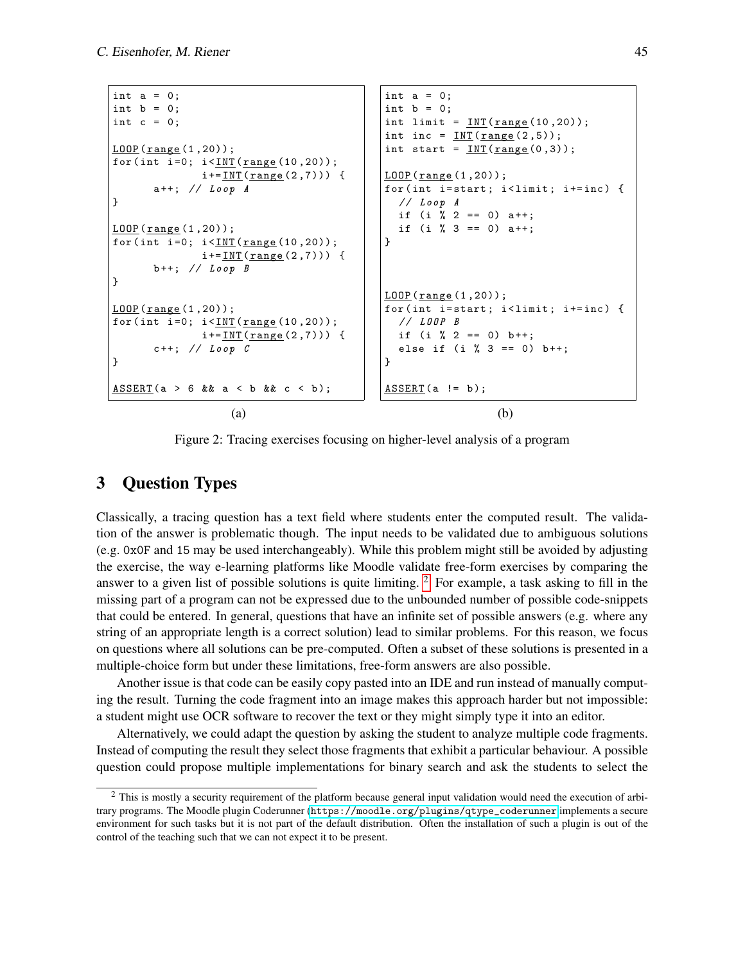```
int a = 0;
int b = 0;
int c = 0;
LOOP (range (1,20));
for (int i=0; i < INT (range (10,20));
             i := \text{INT}(range(2,7)) {
      a++; // Loop A
}
LOOP (range (1,20));
for (int i=0; i < INT (range(10, 20));
             i := \text{INT}(range(2,7))) {
      b++; // Loop B}
LOOP (range (1,20));
for (int i=0; i <<u>INT</u> (range (10,20));
             i := \text{INT}(range(2,7))) {
      c++; // Loop C
}
ASSERT(a > 6 && a < b && c < b);
                                           int a = 0;
                                           int b = 0;
                                           int limit = INT(range(10, 20));
                                           int inc = INT(range(2,5));
                                           int start = INT(range(0,3));
                                           L00P (range(1,20));
                                           for (int i=start; i<limit; i+=inc) {
                                             // Loop A
                                             if (i \ \ 2 == 0) \ a++;if (i \ \ 3 == 0) \ a++;}
                                           L00P (range (1,20));
                                           for(int i=start; i<limit; i+=inc) {
                                             // LOOP B
                                             if (i % 2 == 0) b++;
                                             else if (i % 3 == 0) b++;
                                          }
                                           ASSERT(a != b);(a) (b)
```
Figure 2: Tracing exercises focusing on higher-level analysis of a program

# 3 Question Types

Classically, a tracing question has a text field where students enter the computed result. The validation of the answer is problematic though. The input needs to be validated due to ambiguous solutions (e.g. 0x0F and 15 may be used interchangeably). While this problem might still be avoided by adjusting the exercise, the way e-learning platforms like Moodle validate free-form exercises by comparing the answer to a given list of possible solutions is quite limiting.  $2 \text{ For example, a task asking to fill in the}$  $2 \text{ For example, a task asking to fill in the}$ missing part of a program can not be expressed due to the unbounded number of possible code-snippets that could be entered. In general, questions that have an infinite set of possible answers (e.g. where any string of an appropriate length is a correct solution) lead to similar problems. For this reason, we focus on questions where all solutions can be pre-computed. Often a subset of these solutions is presented in a multiple-choice form but under these limitations, free-form answers are also possible.

Another issue is that code can be easily copy pasted into an IDE and run instead of manually computing the result. Turning the code fragment into an image makes this approach harder but not impossible: a student might use OCR software to recover the text or they might simply type it into an editor.

Alternatively, we could adapt the question by asking the student to analyze multiple code fragments. Instead of computing the result they select those fragments that exhibit a particular behaviour. A possible question could propose multiple implementations for binary search and ask the students to select the

<span id="page-2-1"></span><sup>2</sup> This is mostly a security requirement of the platform because general input validation would need the execution of arbitrary programs. The Moodle plugin Coderunner ([https://moodle.org/plugins/qtype\\_coderunner](https://moodle.org/plugins/qtype_coderunner) implements a secure environment for such tasks but it is not part of the default distribution. Often the installation of such a plugin is out of the control of the teaching such that we can not expect it to be present.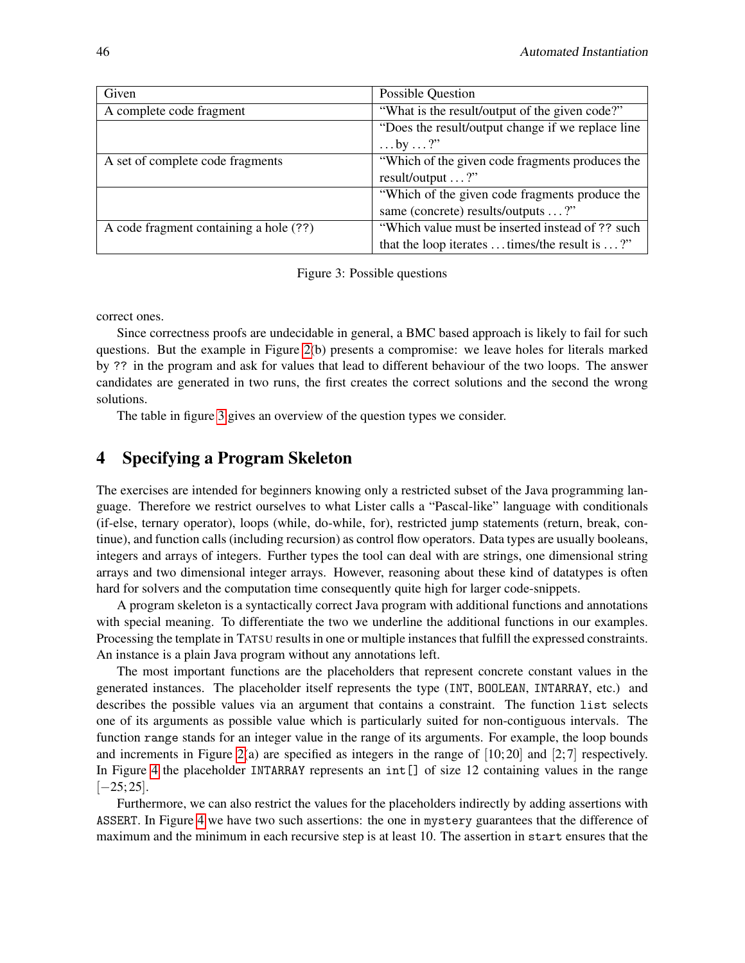<span id="page-3-0"></span>

| Given                                  | Possible Question                                             |
|----------------------------------------|---------------------------------------------------------------|
| A complete code fragment               | "What is the result/output of the given code?"                |
|                                        | "Does the result/output change if we replace line"            |
|                                        | $\ldots$ by $\ldots$ ?"                                       |
| A set of complete code fragments       | "Which of the given code fragments produces the               |
|                                        | result/output ?"                                              |
|                                        | "Which of the given code fragments produce the                |
|                                        | same (concrete) results/outputs ?"                            |
| A code fragment containing a hole (??) | "Which value must be inserted instead of ?? such              |
|                                        | that the loop iterates $\dots$ times/the result is $\dots$ ?" |

Figure 3: Possible questions

correct ones.

Since correctness proofs are undecidable in general, a BMC based approach is likely to fail for such questions. But the example in Figure [2\(](#page-2-0)b) presents a compromise: we leave holes for literals marked by ?? in the program and ask for values that lead to different behaviour of the two loops. The answer candidates are generated in two runs, the first creates the correct solutions and the second the wrong solutions.

The table in figure [3](#page-3-0) gives an overview of the question types we consider.

# 4 Specifying a Program Skeleton

The exercises are intended for beginners knowing only a restricted subset of the Java programming language. Therefore we restrict ourselves to what Lister calls a "Pascal-like" language with conditionals (if-else, ternary operator), loops (while, do-while, for), restricted jump statements (return, break, continue), and function calls (including recursion) as control flow operators. Data types are usually booleans, integers and arrays of integers. Further types the tool can deal with are strings, one dimensional string arrays and two dimensional integer arrays. However, reasoning about these kind of datatypes is often hard for solvers and the computation time consequently quite high for larger code-snippets.

A program skeleton is a syntactically correct Java program with additional functions and annotations with special meaning. To differentiate the two we underline the additional functions in our examples. Processing the template in TATSU results in one or multiple instances that fulfill the expressed constraints. An instance is a plain Java program without any annotations left.

The most important functions are the placeholders that represent concrete constant values in the generated instances. The placeholder itself represents the type (INT, BOOLEAN, INTARRAY, etc.) and describes the possible values via an argument that contains a constraint. The function list selects one of its arguments as possible value which is particularly suited for non-contiguous intervals. The function range stands for an integer value in the range of its arguments. For example, the loop bounds and increments in Figure [2\(](#page-2-0)a) are specified as integers in the range of  $[10; 20]$  and  $[2; 7]$  respectively. In Figure [4](#page-4-0) the placeholder INTARRAY represents an int[] of size 12 containing values in the range  $[-25; 25]$ .

Furthermore, we can also restrict the values for the placeholders indirectly by adding assertions with ASSERT. In Figure [4](#page-4-0) we have two such assertions: the one in mystery guarantees that the difference of maximum and the minimum in each recursive step is at least 10. The assertion in start ensures that the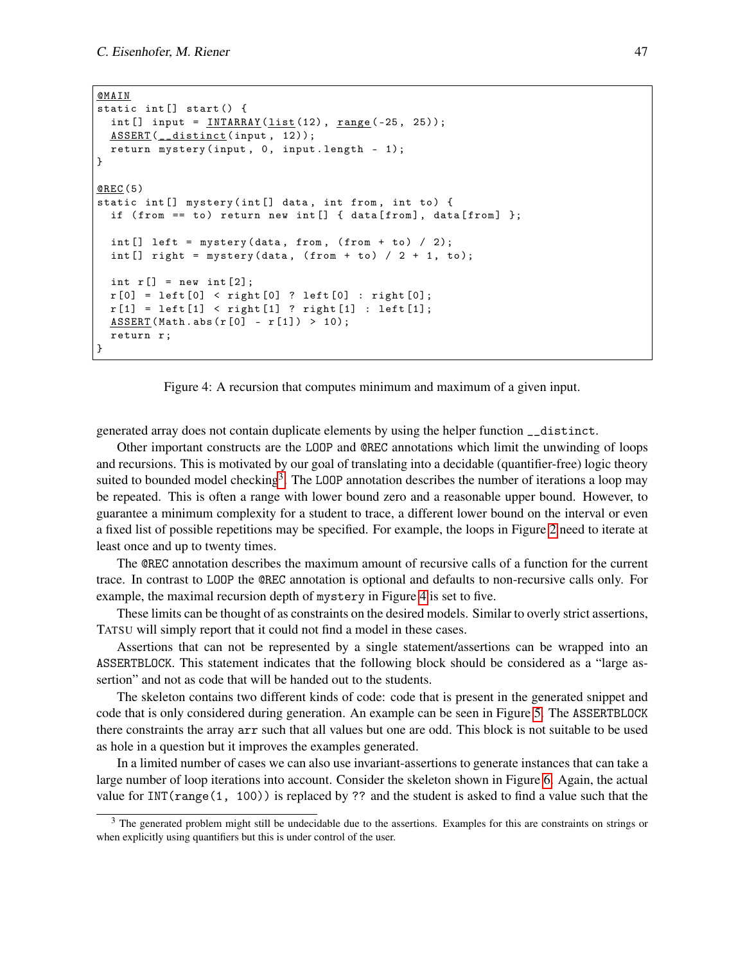```
@MAIN
static int [] start () {
  int [] input = INTARRAY (list (12), range (-25, 25));
  ASSERT (__distinct(input, 12));
  return mystery (input, 0, input.length - 1);
}
@REC (5)
static int [] mystery (int [] data, int from, int to) {
  if ( from == to) return new int [] { data [from], data [from] };
  int [] left = mystery (data, from, (from + to) / 2);int [] right = mystery (data, (from + to) / 2 + 1, to);int r[] = new int [2];r[0] = left[0] < right[0] ? left[0] : right[0];
  r[1] = left[1] < right[1] ? right[1] : left[1];ASSERT(Math. abs(r[0] - r[1]) > 10);return r;
}
```


generated array does not contain duplicate elements by using the helper function \_\_distinct.

Other important constructs are the LOOP and @REC annotations which limit the unwinding of loops and recursions. This is motivated by our goal of translating into a decidable (quantifier-free) logic theory suited to bounded model checking<sup>[3](#page-4-1)</sup>. The LOOP annotation describes the number of iterations a loop may be repeated. This is often a range with lower bound zero and a reasonable upper bound. However, to guarantee a minimum complexity for a student to trace, a different lower bound on the interval or even a fixed list of possible repetitions may be specified. For example, the loops in Figure [2](#page-2-0) need to iterate at least once and up to twenty times.

The @REC annotation describes the maximum amount of recursive calls of a function for the current trace. In contrast to LOOP the @REC annotation is optional and defaults to non-recursive calls only. For example, the maximal recursion depth of mystery in Figure [4](#page-4-0) is set to five.

These limits can be thought of as constraints on the desired models. Similar to overly strict assertions, TATSU will simply report that it could not find a model in these cases.

Assertions that can not be represented by a single statement/assertions can be wrapped into an ASSERTBLOCK. This statement indicates that the following block should be considered as a "large assertion" and not as code that will be handed out to the students.

The skeleton contains two different kinds of code: code that is present in the generated snippet and code that is only considered during generation. An example can be seen in Figure [5.](#page-5-0) The ASSERTBLOCK there constraints the array arr such that all values but one are odd. This block is not suitable to be used as hole in a question but it improves the examples generated.

In a limited number of cases we can also use invariant-assertions to generate instances that can take a large number of loop iterations into account. Consider the skeleton shown in Figure [6.](#page-6-0) Again, the actual value for  $INT(range(1, 100))$  is replaced by ?? and the student is asked to find a value such that the

<span id="page-4-1"></span><sup>&</sup>lt;sup>3</sup> The generated problem might still be undecidable due to the assertions. Examples for this are constraints on strings or when explicitly using quantifiers but this is under control of the user.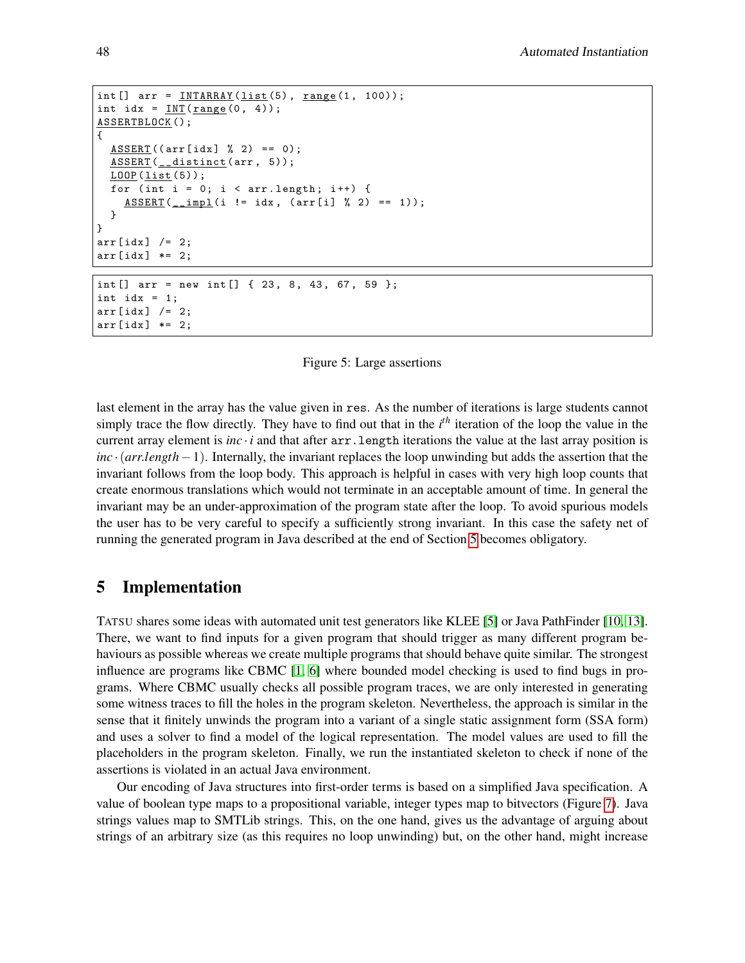```
int [] arr = INTARRAY (list (5), range (1, 100));int idx = INT(range(0, 4));ASSERTBLOCK();
{
  ASSERT ((arr [idx] % 2) == 0);ASSERT (__distinct (arr, 5));
  LOOP(list(5));for (int i = 0; i < arr.length; i++) {
    ASSERT(\_\text{impl}(i != idx, (arr[i] % 2) == 1));}
}
arr[idx] /= 2;
arr [idx] *= 2;
int [] arr = new int [] \{23, 8, 43, 67, 59 \};
int idx = 1;
```


last element in the array has the value given in res. As the number of iterations is large students cannot simply trace the flow directly. They have to find out that in the *i*<sup>th</sup> iteration of the loop the value in the current array element is *inc*  $\cdot$  *i* and that after  $\arctan 1$  ength iterations the value at the last array position is *inc* ·(*arr*.*length*−1). Internally, the invariant replaces the loop unwinding but adds the assertion that the invariant follows from the loop body. This approach is helpful in cases with very high loop counts that create enormous translations which would not terminate in an acceptable amount of time. In general the invariant may be an under-approximation of the program state after the loop. To avoid spurious models the user has to be very careful to specify a sufficiently strong invariant. In this case the safety net of running the generated program in Java described at the end of Section [5](#page-5-1) becomes obligatory.

# <span id="page-5-1"></span>5 Implementation

 $arr [idx]$  /= 2;  $arr[idx]$  \*= 2;

TATSU shares some ideas with automated unit test generators like KLEE [\[5\]](#page-10-0) or Java PathFinder [\[10,](#page-11-4) [13\]](#page-11-5). There, we want to find inputs for a given program that should trigger as many different program behaviours as possible whereas we create multiple programs that should behave quite similar. The strongest influence are programs like CBMC [\[1,](#page-10-1) [6\]](#page-10-2) where bounded model checking is used to find bugs in programs. Where CBMC usually checks all possible program traces, we are only interested in generating some witness traces to fill the holes in the program skeleton. Nevertheless, the approach is similar in the sense that it finitely unwinds the program into a variant of a single static assignment form (SSA form) and uses a solver to find a model of the logical representation. The model values are used to fill the placeholders in the program skeleton. Finally, we run the instantiated skeleton to check if none of the assertions is violated in an actual Java environment.

Our encoding of Java structures into first-order terms is based on a simplified Java specification. A value of boolean type maps to a propositional variable, integer types map to bitvectors (Figure [7\)](#page-6-1). Java strings values map to SMTLib strings. This, on the one hand, gives us the advantage of arguing about strings of an arbitrary size (as this requires no loop unwinding) but, on the other hand, might increase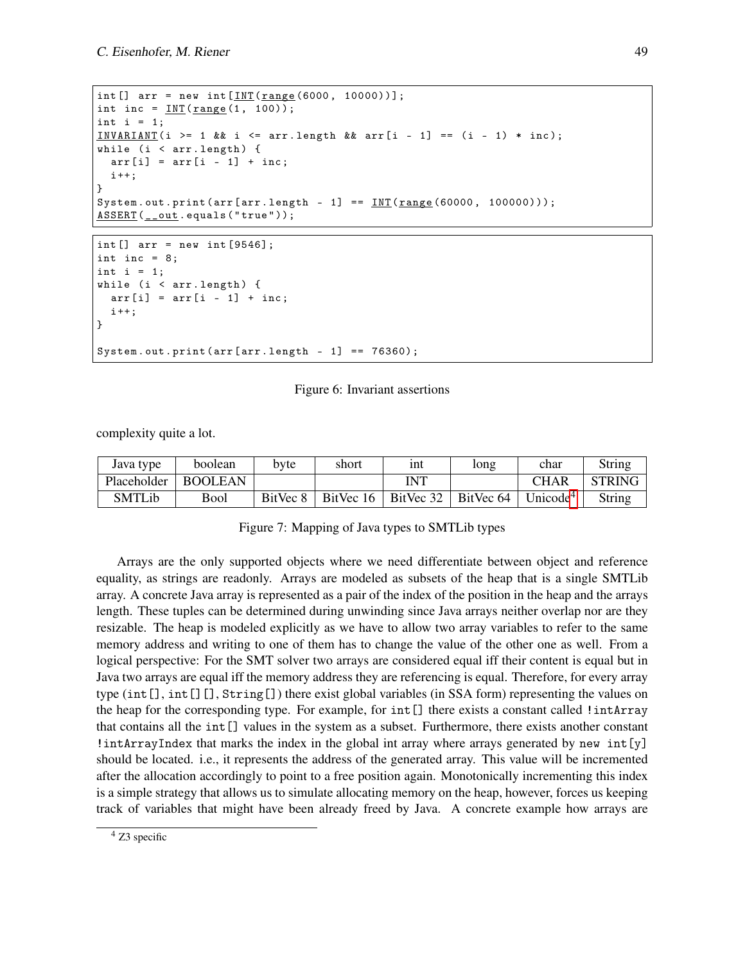```
int [] arr = new int [INT(range(6000, 10000))];
int inc = INT(range(1, 100));int i = 1;
INVARIANT (i >= 1 & & i <= arr . length & & arr [i - 1] == (i - 1) * inc;
while (i < arr.length) {
  arr[i] = arr[i - 1] + inc;i ++;
}
System.out.print (arr [arr.length - 1] == INT (range (60000, 100000)));ASSERT ( __out . equals ("true" ));
```

```
int [] arr = new int [9546];
int inc = 8;
int i = 1;
while (i \lt arr.length) {
 arr[i] = arr[i - 1] + inc;i + +;
}
System.out.print (\arrctan x) == 76360);
```
#### Figure 6: Invariant assertions

complexity quite a lot.

<span id="page-6-1"></span>

| Java type   | boolean        | byte | short | 1nt                                    | long      | char                 | String        |
|-------------|----------------|------|-------|----------------------------------------|-----------|----------------------|---------------|
| Placeholder | <b>BOOLEAN</b> |      |       | <b>INT</b>                             |           | <b>CHAR</b>          | <b>STRING</b> |
| SMTLib      | <b>Bool</b>    |      |       | BitVec $8$   BitVec $16$   BitVec $32$ | BitVec 64 | Unicode <sup>4</sup> | String        |

#### Figure 7: Mapping of Java types to SMTLib types

Arrays are the only supported objects where we need differentiate between object and reference equality, as strings are readonly. Arrays are modeled as subsets of the heap that is a single SMTLib array. A concrete Java array is represented as a pair of the index of the position in the heap and the arrays length. These tuples can be determined during unwinding since Java arrays neither overlap nor are they resizable. The heap is modeled explicitly as we have to allow two array variables to refer to the same memory address and writing to one of them has to change the value of the other one as well. From a logical perspective: For the SMT solver two arrays are considered equal iff their content is equal but in Java two arrays are equal iff the memory address they are referencing is equal. Therefore, for every array type (int[], int[][], String[]) there exist global variables (in SSA form) representing the values on the heap for the corresponding type. For example, for int[] there exists a constant called !intArray that contains all the int[] values in the system as a subset. Furthermore, there exists another constant  $\text{intArrayIndex}$  that marks the index in the global int array where arrays generated by new  $\text{int}[y]$ should be located. i.e., it represents the address of the generated array. This value will be incremented after the allocation accordingly to point to a free position again. Monotonically incrementing this index is a simple strategy that allows us to simulate allocating memory on the heap, however, forces us keeping track of variables that might have been already freed by Java. A concrete example how arrays are

<span id="page-6-2"></span> $4$  Z3 specific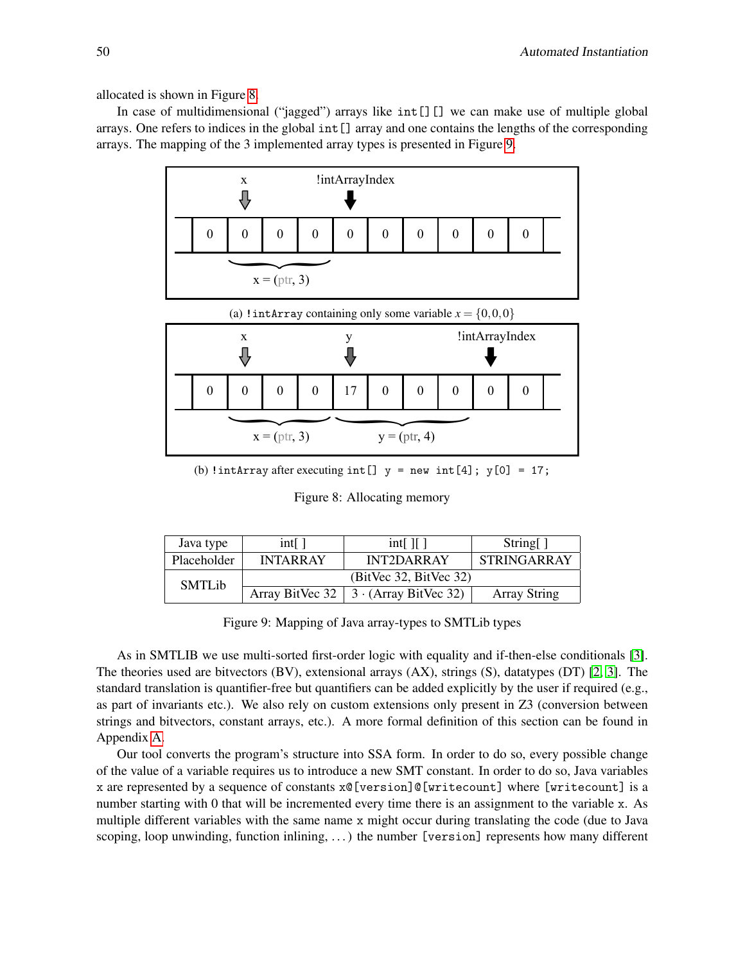allocated is shown in Figure [8.](#page-7-0)

<span id="page-7-0"></span>In case of multidimensional ("jagged") arrays like  $int[]$  we can make use of multiple global arrays. One refers to indices in the global int[] array and one contains the lengths of the corresponding arrays. The mapping of the 3 implemented array types is presented in Figure [9.](#page-7-1)



(b) !intArray after executing int []  $y = new int[4]$ ;  $y[0] = 17$ ;

Figure 8: Allocating memory

<span id="page-7-1"></span>

| Java type          | $int[$ ]               | $int[$ If 1                 | String[]            |
|--------------------|------------------------|-----------------------------|---------------------|
| <b>Placeholder</b> | <b>INTARRAY</b>        | INT2DARRAY                  | <b>STRINGARRAY</b>  |
| <b>SMTLib</b>      | (BitVec 32, BitVec 32) |                             |                     |
|                    | Array BitVec 32        | $3 \cdot (Array BitVec 32)$ | <b>Array String</b> |

Figure 9: Mapping of Java array-types to SMTLib types

As in SMTLIB we use multi-sorted first-order logic with equality and if-then-else conditionals [\[3\]](#page-10-3). The theories used are bitvectors (BV), extensional arrays (AX), strings (S), datatypes (DT) [\[2,](#page-10-4) [3\]](#page-10-3). The standard translation is quantifier-free but quantifiers can be added explicitly by the user if required (e.g., as part of invariants etc.). We also rely on custom extensions only present in Z3 (conversion between strings and bitvectors, constant arrays, etc.). A more formal definition of this section can be found in Appendix [A.](#page-12-0)

Our tool converts the program's structure into SSA form. In order to do so, every possible change of the value of a variable requires us to introduce a new SMT constant. In order to do so, Java variables x are represented by a sequence of constants x@[version]@[writecount] where [writecount] is a number starting with 0 that will be incremented every time there is an assignment to the variable x. As multiple different variables with the same name x might occur during translating the code (due to Java scoping, loop unwinding, function inlining, . . . ) the number [version] represents how many different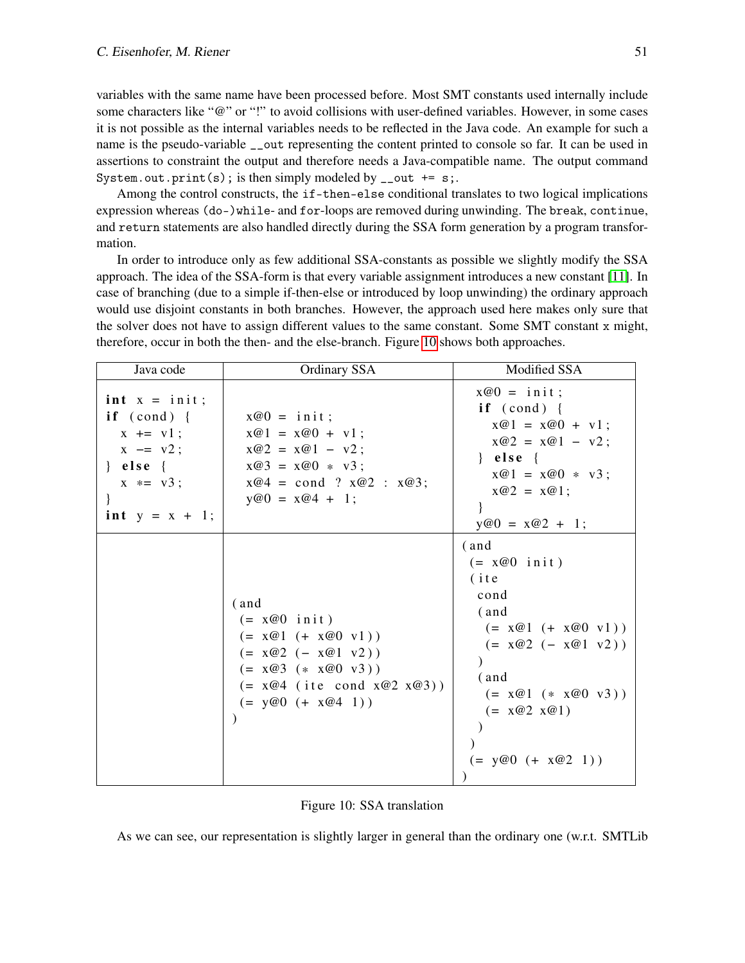variables with the same name have been processed before. Most SMT constants used internally include some characters like "@" or "!" to avoid collisions with user-defined variables. However, in some cases it is not possible as the internal variables needs to be reflected in the Java code. An example for such a name is the pseudo-variable \_\_out representing the content printed to console so far. It can be used in assertions to constraint the output and therefore needs a Java-compatible name. The output command System.out.print(s); is then simply modeled by  $\text{\_out}$  += s;.

Among the control constructs, the if-then-else conditional translates to two logical implications expression whereas (do-)while- and for-loops are removed during unwinding. The break, continue, and return statements are also handled directly during the SSA form generation by a program transformation.

In order to introduce only as few additional SSA-constants as possible we slightly modify the SSA approach. The idea of the SSA-form is that every variable assignment introduces a new constant [\[11\]](#page-11-6). In case of branching (due to a simple if-then-else or introduced by loop unwinding) the ordinary approach would use disjoint constants in both branches. However, the approach used here makes only sure that the solver does not have to assign different values to the same constant. Some SMT constant x might, therefore, occur in both the then- and the else-branch. Figure [10](#page-8-0) shows both approaches.

<span id="page-8-0"></span>

| Java code                                                                                                                     | Ordinary SSA                                                                                                                                                  | Modified SSA                                                                                                                                                                      |
|-------------------------------------------------------------------------------------------------------------------------------|---------------------------------------------------------------------------------------------------------------------------------------------------------------|-----------------------------------------------------------------------------------------------------------------------------------------------------------------------------------|
| $int x = init;$<br>if $(cond)$ {<br>$x \leftarrow + = v1$ ;<br>$x = v2;$<br>$\}$ else $\{$<br>$x * = v3;$<br>$int y = x + 1;$ | $x@0 = init;$<br>$x@1 = x@0 + v1;$<br>$x@2 = x@1 - v2;$<br>$x@3 = x@0 * v3;$<br>$x@4 = cond ? x@2 : x@3;$<br>$y@0 = x@4 + 1;$                                 | $x@0 = init;$<br>if $(cond)$ {<br>$x@1 = x@0 + v1;$<br>$x@2 = x@1 - v2;$<br>$\}$ else {<br>$x@1 = x@0 * v3;$<br>$x@2 = x@1;$<br>$y@0 = x@2 + 1;$                                  |
|                                                                                                                               | (and<br>$(= x@0 \text{ init})$<br>$(= x@1 (+ x@0 v1))$<br>$(= x@2 (- x@1 v2))$<br>$(= x@3 (+ x@0 y3))$<br>$(= x@4 (ite cond x@2 x@3))$<br>$(= y@0 (+ x@4 1))$ | (and<br>$(= x@0 \text{ init})$<br>$($ ite<br>cond<br>(and<br>$(= x@1 (+ x@0 v1))$<br>$(= x@2 (- x@1 v2))$<br>(and<br>$(= x@1 (+ x@0 y3))$<br>$(= x@2 x@1)$<br>$(= y@0 (+ x@2 1))$ |

As we can see, our representation is slightly larger in general than the ordinary one (w.r.t. SMTLib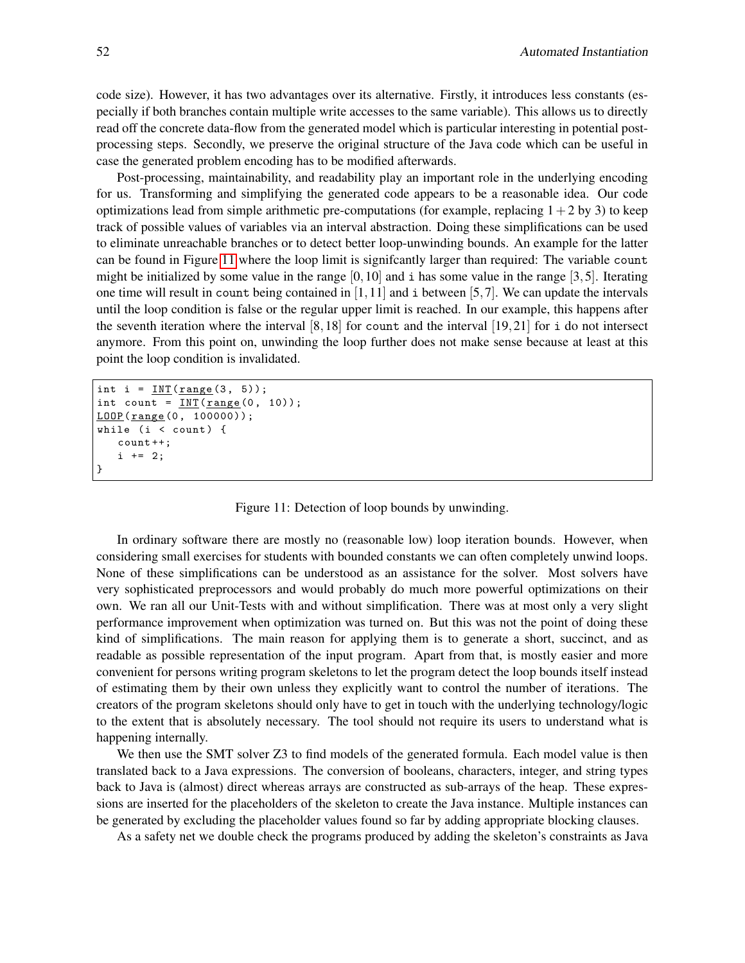code size). However, it has two advantages over its alternative. Firstly, it introduces less constants (especially if both branches contain multiple write accesses to the same variable). This allows us to directly read off the concrete data-flow from the generated model which is particular interesting in potential postprocessing steps. Secondly, we preserve the original structure of the Java code which can be useful in case the generated problem encoding has to be modified afterwards.

Post-processing, maintainability, and readability play an important role in the underlying encoding for us. Transforming and simplifying the generated code appears to be a reasonable idea. Our code optimizations lead from simple arithmetic pre-computations (for example, replacing  $1+2$  by 3) to keep track of possible values of variables via an interval abstraction. Doing these simplifications can be used to eliminate unreachable branches or to detect better loop-unwinding bounds. An example for the latter can be found in Figure [11](#page-9-0) where the loop limit is signifcantly larger than required: The variable count might be initialized by some value in the range  $[0,10]$  and i has some value in the range  $[3,5]$ . Iterating one time will result in count being contained in  $[1,11]$  and i between  $[5,7]$ . We can update the intervals until the loop condition is false or the regular upper limit is reached. In our example, this happens after the seventh iteration where the interval  $[8,18]$  for count and the interval  $[19,21]$  for i do not intersect anymore. From this point on, unwinding the loop further does not make sense because at least at this point the loop condition is invalidated.

```
int i = INT(range(3, 5));
int count = INT(range(0, 10));LOOP (range (0, 100000));
while (i \lt count) {
   count ++;
   i += 2;
}
```
Figure 11: Detection of loop bounds by unwinding.

In ordinary software there are mostly no (reasonable low) loop iteration bounds. However, when considering small exercises for students with bounded constants we can often completely unwind loops. None of these simplifications can be understood as an assistance for the solver. Most solvers have very sophisticated preprocessors and would probably do much more powerful optimizations on their own. We ran all our Unit-Tests with and without simplification. There was at most only a very slight performance improvement when optimization was turned on. But this was not the point of doing these kind of simplifications. The main reason for applying them is to generate a short, succinct, and as readable as possible representation of the input program. Apart from that, is mostly easier and more convenient for persons writing program skeletons to let the program detect the loop bounds itself instead of estimating them by their own unless they explicitly want to control the number of iterations. The creators of the program skeletons should only have to get in touch with the underlying technology/logic to the extent that is absolutely necessary. The tool should not require its users to understand what is happening internally.

We then use the SMT solver Z3 to find models of the generated formula. Each model value is then translated back to a Java expressions. The conversion of booleans, characters, integer, and string types back to Java is (almost) direct whereas arrays are constructed as sub-arrays of the heap. These expressions are inserted for the placeholders of the skeleton to create the Java instance. Multiple instances can be generated by excluding the placeholder values found so far by adding appropriate blocking clauses.

As a safety net we double check the programs produced by adding the skeleton's constraints as Java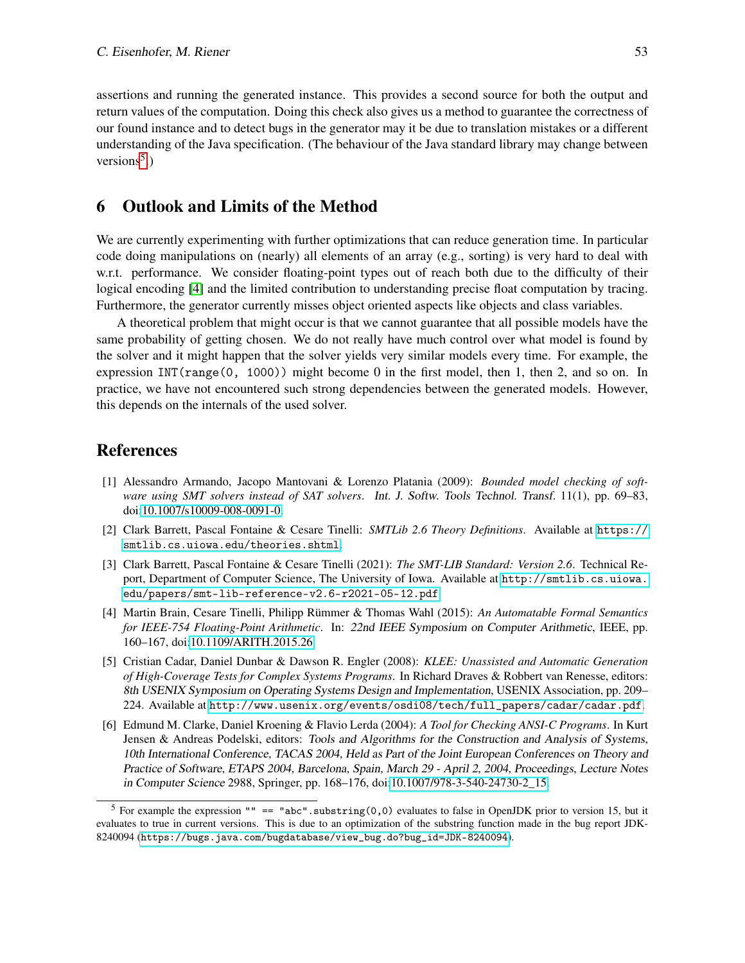assertions and running the generated instance. This provides a second source for both the output and return values of the computation. Doing this check also gives us a method to guarantee the correctness of our found instance and to detect bugs in the generator may it be due to translation mistakes or a different understanding of the Java specification. (The behaviour of the Java standard library may change between versions<sup>[5](#page-10-5)</sup>.)

### 6 Outlook and Limits of the Method

We are currently experimenting with further optimizations that can reduce generation time. In particular code doing manipulations on (nearly) all elements of an array (e.g., sorting) is very hard to deal with w.r.t. performance. We consider floating-point types out of reach both due to the difficulty of their logical encoding [\[4\]](#page-10-6) and the limited contribution to understanding precise float computation by tracing. Furthermore, the generator currently misses object oriented aspects like objects and class variables.

A theoretical problem that might occur is that we cannot guarantee that all possible models have the same probability of getting chosen. We do not really have much control over what model is found by the solver and it might happen that the solver yields very similar models every time. For example, the expression INT(range(0, 1000)) might become 0 in the first model, then 1, then 2, and so on. In practice, we have not encountered such strong dependencies between the generated models. However, this depends on the internals of the used solver.

### References

- <span id="page-10-1"></span>[1] Alessandro Armando, Jacopo Mantovani & Lorenzo Platania (2009): *Bounded model checking of software using SMT solvers instead of SAT solvers*. Int. J. Softw. Tools Technol. Transf. 11(1), pp. 69–83, doi[:10.1007/s10009-008-0091-0.](http://dx.doi.org/10.1007/s10009-008-0091-0)
- <span id="page-10-4"></span>[2] Clark Barrett, Pascal Fontaine & Cesare Tinelli: *SMTLib 2.6 Theory Definitions*. Available at [https://](https://smtlib.cs.uiowa.edu/theories.shtml) [smtlib.cs.uiowa.edu/theories.shtml](https://smtlib.cs.uiowa.edu/theories.shtml).
- <span id="page-10-3"></span>[3] Clark Barrett, Pascal Fontaine & Cesare Tinelli (2021): *The SMT-LIB Standard: Version 2.6*. Technical Report, Department of Computer Science, The University of Iowa. Available at [http://smtlib.cs.uiowa.](http://smtlib.cs.uiowa.edu/papers/smt-lib-reference-v2.6-r2021-05-12.pdf) [edu/papers/smt-lib-reference-v2.6-r2021-05-12.pdf](http://smtlib.cs.uiowa.edu/papers/smt-lib-reference-v2.6-r2021-05-12.pdf).
- <span id="page-10-6"></span>[4] Martin Brain, Cesare Tinelli, Philipp Rümmer & Thomas Wahl (2015): *An Automatable Formal Semantics for IEEE-754 Floating-Point Arithmetic*. In: 22nd IEEE Symposium on Computer Arithmetic, IEEE, pp. 160–167, doi[:10.1109/ARITH.2015.26.](http://dx.doi.org/10.1109/ARITH.2015.26)
- <span id="page-10-0"></span>[5] Cristian Cadar, Daniel Dunbar & Dawson R. Engler (2008): *KLEE: Unassisted and Automatic Generation of High-Coverage Tests for Complex Systems Programs*. In Richard Draves & Robbert van Renesse, editors: 8th USENIX Symposium on Operating Systems Design and Implementation, USENIX Association, pp. 209– 224. Available at [http://www.usenix.org/events/osdi08/tech/full\\_papers/cadar/cadar.pdf](http://www.usenix.org/events/osdi08/tech/full_papers/cadar/cadar.pdf).
- <span id="page-10-2"></span>[6] Edmund M. Clarke, Daniel Kroening & Flavio Lerda (2004): *A Tool for Checking ANSI-C Programs*. In Kurt Jensen & Andreas Podelski, editors: Tools and Algorithms for the Construction and Analysis of Systems, 10th International Conference, TACAS 2004, Held as Part of the Joint European Conferences on Theory and Practice of Software, ETAPS 2004, Barcelona, Spain, March 29 - April 2, 2004, Proceedings, Lecture Notes in Computer Science 2988, Springer, pp. 168–176, doi[:10.1007/978-3-540-24730-2\\_15.](http://dx.doi.org/10.1007/978-3-540-24730-2_15)

<span id="page-10-5"></span><sup>&</sup>lt;sup>5</sup> For example the expression "" == "abc".substring(0,0) evaluates to false in OpenJDK prior to version 15, but it evaluates to true in current versions. This is due to an optimization of the substring function made in the bug report JDK-8240094 ([https://bugs.java.com/bugdatabase/view\\_bug.do?bug\\_id=JDK-8240094](https://bugs.java.com/bugdatabase/view_bug.do?bug_id=JDK-8240094)).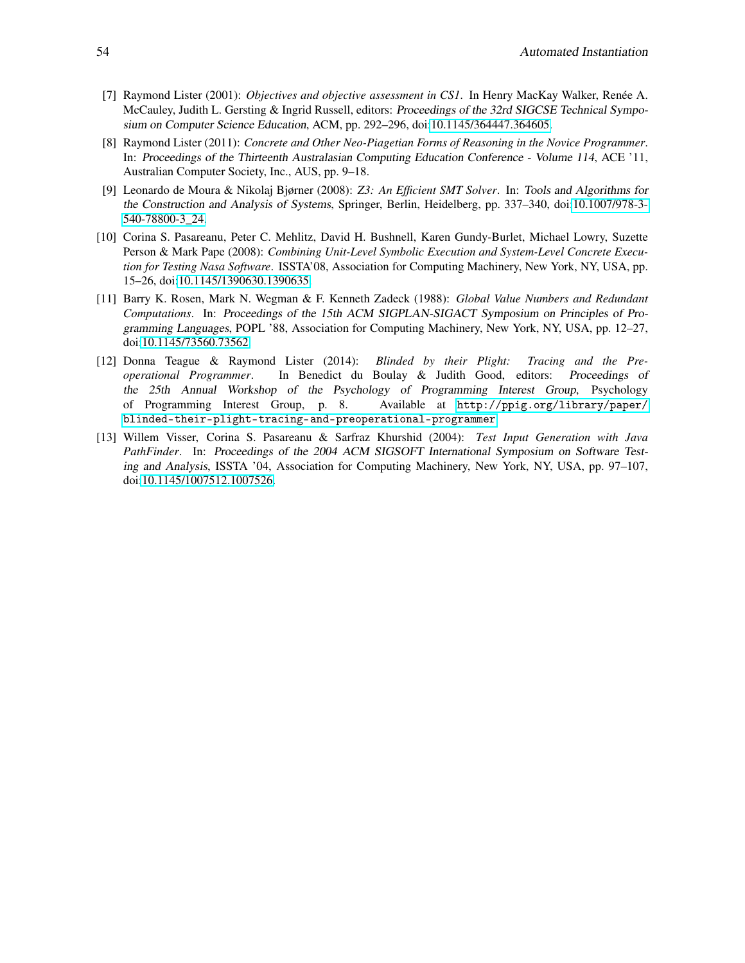- <span id="page-11-2"></span>[7] Raymond Lister (2001): *Objectives and objective assessment in CS1*. In Henry MacKay Walker, Renée A. McCauley, Judith L. Gersting & Ingrid Russell, editors: Proceedings of the 32rd SIGCSE Technical Symposium on Computer Science Education, ACM, pp. 292–296, doi[:10.1145/364447.364605.](http://dx.doi.org/10.1145/364447.364605)
- <span id="page-11-1"></span>[8] Raymond Lister (2011): *Concrete and Other Neo-Piagetian Forms of Reasoning in the Novice Programmer*. In: Proceedings of the Thirteenth Australasian Computing Education Conference - Volume 114, ACE '11, Australian Computer Society, Inc., AUS, pp. 9–18.
- <span id="page-11-3"></span>[9] Leonardo de Moura & Nikolaj Bjørner (2008): *Z3: An Efficient SMT Solver*. In: Tools and Algorithms for the Construction and Analysis of Systems, Springer, Berlin, Heidelberg, pp. 337–340, doi[:10.1007/978-3-](http://dx.doi.org/10.1007/978-3-540-78800-3_24) [540-78800-3\\_24.](http://dx.doi.org/10.1007/978-3-540-78800-3_24)
- <span id="page-11-4"></span>[10] Corina S. Pasareanu, Peter C. Mehlitz, David H. Bushnell, Karen Gundy-Burlet, Michael Lowry, Suzette Person & Mark Pape (2008): *Combining Unit-Level Symbolic Execution and System-Level Concrete Execution for Testing Nasa Software*. ISSTA'08, Association for Computing Machinery, New York, NY, USA, pp. 15–26, doi[:10.1145/1390630.1390635.](http://dx.doi.org/10.1145/1390630.1390635)
- <span id="page-11-6"></span>[11] Barry K. Rosen, Mark N. Wegman & F. Kenneth Zadeck (1988): *Global Value Numbers and Redundant Computations*. In: Proceedings of the 15th ACM SIGPLAN-SIGACT Symposium on Principles of Programming Languages, POPL '88, Association for Computing Machinery, New York, NY, USA, pp. 12–27, doi[:10.1145/73560.73562.](http://dx.doi.org/10.1145/73560.73562)
- <span id="page-11-0"></span>[12] Donna Teague & Raymond Lister (2014): *Blinded by their Plight: Tracing and the Preoperational Programmer*. In Benedict du Boulay & Judith Good, editors: Proceedings of the 25th Annual Workshop of the Psychology of Programming Interest Group, Psychology of Programming Interest Group, p. 8. Available at [http://ppig.org/library/paper/](http://ppig.org/library/paper/blinded-their-plight-tracing-and-preoperational-programmer) [blinded-their-plight-tracing-and-preoperational-programmer](http://ppig.org/library/paper/blinded-their-plight-tracing-and-preoperational-programmer).
- <span id="page-11-5"></span>[13] Willem Visser, Corina S. Pasareanu & Sarfraz Khurshid (2004): *Test Input Generation with Java PathFinder*. In: Proceedings of the 2004 ACM SIGSOFT International Symposium on Software Testing and Analysis, ISSTA '04, Association for Computing Machinery, New York, NY, USA, pp. 97–107, doi[:10.1145/1007512.1007526.](http://dx.doi.org/10.1145/1007512.1007526)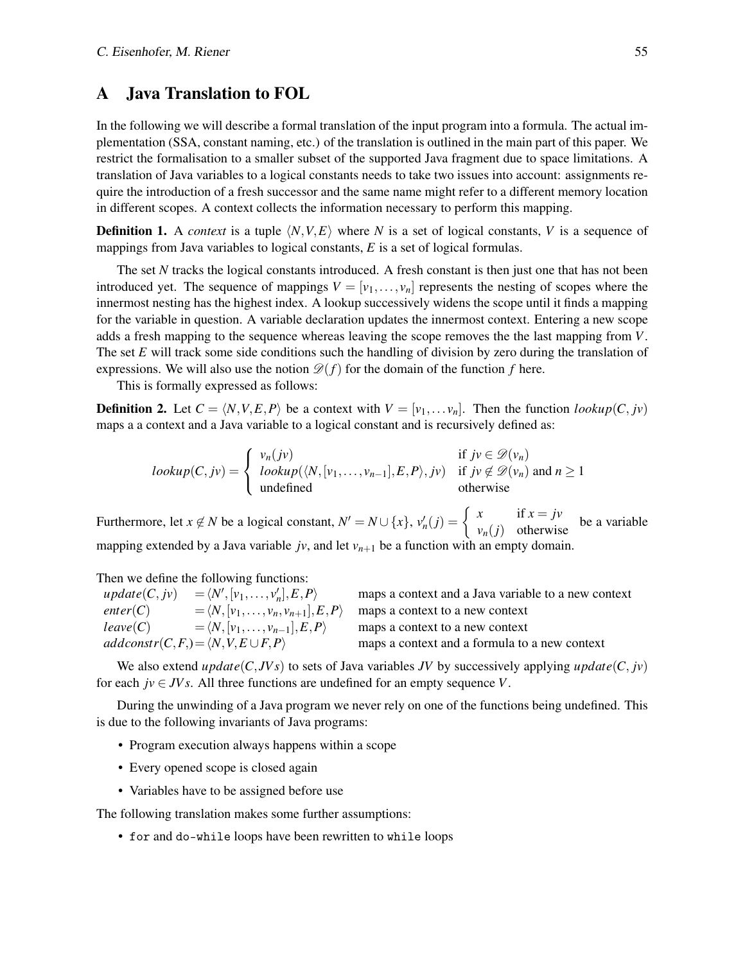### <span id="page-12-0"></span>A Java Translation to FOL

In the following we will describe a formal translation of the input program into a formula. The actual implementation (SSA, constant naming, etc.) of the translation is outlined in the main part of this paper. We restrict the formalisation to a smaller subset of the supported Java fragment due to space limitations. A translation of Java variables to a logical constants needs to take two issues into account: assignments require the introduction of a fresh successor and the same name might refer to a different memory location in different scopes. A context collects the information necessary to perform this mapping.

**Definition 1.** A *context* is a tuple  $\langle N, V, E \rangle$  where *N* is a set of logical constants, *V* is a sequence of mappings from Java variables to logical constants, *E* is a set of logical formulas.

The set *N* tracks the logical constants introduced. A fresh constant is then just one that has not been introduced yet. The sequence of mappings  $V = [v_1, \ldots, v_n]$  represents the nesting of scopes where the innermost nesting has the highest index. A lookup successively widens the scope until it finds a mapping for the variable in question. A variable declaration updates the innermost context. Entering a new scope adds a fresh mapping to the sequence whereas leaving the scope removes the the last mapping from *V*. The set *E* will track some side conditions such the handling of division by zero during the translation of expressions. We will also use the notion  $\mathcal{D}(f)$  for the domain of the function f here.

This is formally expressed as follows:

**Definition 2.** Let  $C = \langle N, V, E, P \rangle$  be a context with  $V = [v_1, \dots, v_n]$ . Then the function  $lookup(C, jv)$ maps a a context and a Java variable to a logical constant and is recursively defined as:

$$
lookup(C, jv) = \begin{cases} v_n(jv) & \text{if } jv \in \mathcal{D}(v_n) \\ lookup(\langle N, [v_1, \dots, v_{n-1}], E, P \rangle, jv) & \text{if } jv \notin \mathcal{D}(v_n) \text{ and } n \ge 1 \\ undefined & \text{otherwise} \end{cases}
$$

Furthermore, let  $x \notin N$  be a logical constant,  $N' = N \cup \{x\}$ ,  $v'_n(j) = \begin{cases} x & \text{if } x = jv \\ v_n(j) & \text{otherwise} \end{cases}$  be a variable mapping extended by a Java variable  $j\nu$ , and let  $\nu_{n+1}$  be a function with an empty domain.

Then we define the following functions:

 $update(C, jv) = \langle N', [v_1, \ldots, v'_n \rangle$ *enter*(*C*) =  $\langle N, [v_1, \ldots, v_n, v_{n+1}], E, P \rangle$  maps a context to a new context *leave*(*C*) =  $\langle N, [v_1, \ldots, v_{n-1}], E, P \rangle$  maps a context to a new context *addconstr*(*C*,*F*,) =  $\langle N, V, E \cup F, P \rangle$  maps a context and a formula to a new context

maps a context and a Java variable to a new context

We also extend *update*(*C*, *JVs*) to sets of Java variables *JV* by successively applying *update*(*C*, *jv*) for each  $jv \in JVs$ . All three functions are undefined for an empty sequence *V*.

During the unwinding of a Java program we never rely on one of the functions being undefined. This is due to the following invariants of Java programs:

- Program execution always happens within a scope
- Every opened scope is closed again
- Variables have to be assigned before use

The following translation makes some further assumptions:

• for and do-while loops have been rewritten to while loops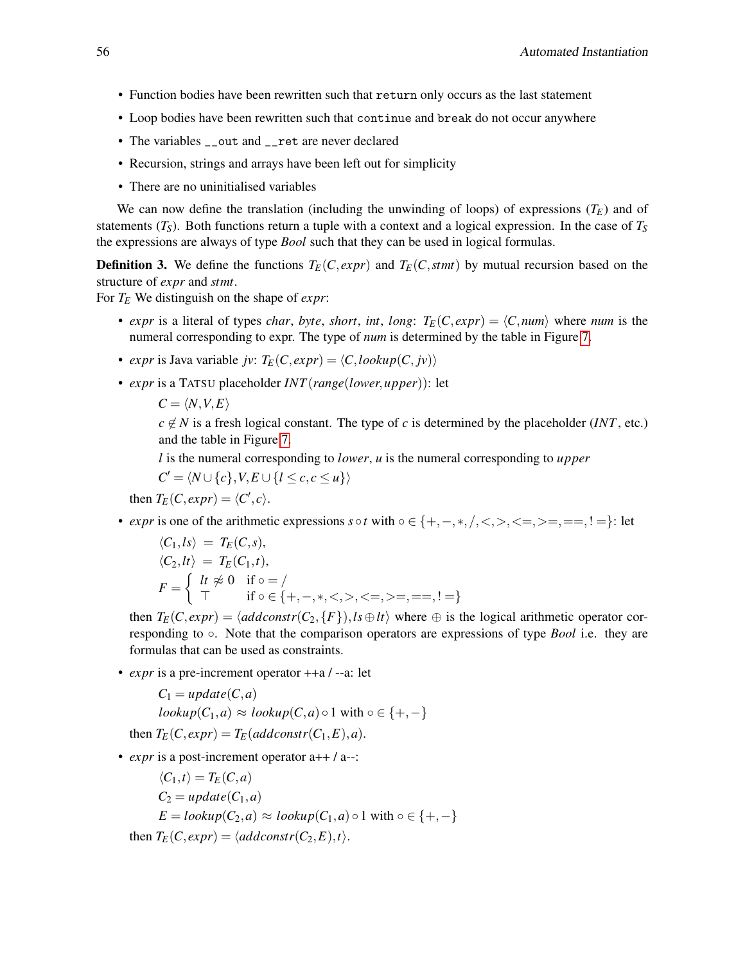- Function bodies have been rewritten such that return only occurs as the last statement
- Loop bodies have been rewritten such that continue and break do not occur anywhere
- The variables \_\_out and \_\_ret are never declared
- Recursion, strings and arrays have been left out for simplicity
- There are no uninitialised variables

We can now define the translation (including the unwinding of loops) of expressions  $(T_F)$  and of statements  $(T_S)$ . Both functions return a tuple with a context and a logical expression. In the case of  $T_S$ the expressions are always of type *Bool* such that they can be used in logical formulas.

**Definition 3.** We define the functions  $T_F(C, exp r)$  and  $T_F(C,$ *stmt*) by mutual recursion based on the structure of *expr* and *stmt*.

For *T<sup>E</sup>* We distinguish on the shape of *expr*:

- *expr* is a literal of types *char*, *byte*, *short*, *int*, *long*:  $T_E(C, expr) = \langle C, num \rangle$  where *num* is the numeral corresponding to expr. The type of *num* is determined by the table in Figure [7.](#page-6-1)
- *expr* is Java variable *jv*:  $T_E(C, expr) = \langle C, lookup(C, jv) \rangle$
- *expr* is a TATSU placeholder *INT*(*range*(*lower*,*upper*)): let
	- $C = \langle N, V, E \rangle$

 $c \notin N$  is a fresh logical constant. The type of *c* is determined by the placeholder (*INT*, etc.) and the table in Figure [7.](#page-6-1)

*l* is the numeral corresponding to *lower*, *u* is the numeral corresponding to *upper*

 $C' = \langle N \cup \{c\}, V, E \cup \{l \leq c, c \leq u\}\rangle$ 

then  $T_E(C, expr) = \langle C', c \rangle$ .

• *expr* is one of the arithmetic expressions  $s \circ t$  with  $\circ \in \{+, -, *, /, <, >, < =, > =, ==, ! = \}$ : let

$$
\langle C_1, Is \rangle = T_E(C, s),
$$
  
\n
$$
\langle C_2, It \rangle = T_E(C_1, t),
$$
  
\n
$$
F = \begin{cases} \nlt \text{if } \frac{\varphi}{\sqrt{1}} & \text{if } \frac{\varphi}{\sqrt{1}} = 1\\ \nlt \text{if } \frac{\varphi}{\sqrt{1}} & \text{if } \frac{\varphi}{\sqrt{1}} = 1, \frac{\varphi}{\sqrt{1}} = 1, \frac{\varphi}{\sqrt{1}} = 1, \frac{\varphi}{\sqrt{1}} = 1, \frac{\varphi}{\sqrt{1}} = 1, \frac{\varphi}{\sqrt{1}} = 1, \frac{\varphi}{\sqrt{1}} = 1, \frac{\varphi}{\sqrt{1}} = 1, \frac{\varphi}{\sqrt{1}} = 1, \frac{\varphi}{\sqrt{1}} = 1, \frac{\varphi}{\sqrt{1}} = 1, \frac{\varphi}{\sqrt{1}} = 1, \frac{\varphi}{\sqrt{1}} = 1, \frac{\varphi}{\sqrt{1}} = 1, \frac{\varphi}{\sqrt{1}} = 1, \frac{\varphi}{\sqrt{1}} = 1, \frac{\varphi}{\sqrt{1}} = 1, \frac{\varphi}{\sqrt{1}} = 1, \frac{\varphi}{\sqrt{1}} = 1, \frac{\varphi}{\sqrt{1}} = 1, \frac{\varphi}{\sqrt{1}} = 1, \frac{\varphi}{\sqrt{1}} = 1, \frac{\varphi}{\sqrt{1}} = 1, \frac{\varphi}{\sqrt{1}} = 1, \frac{\varphi}{\sqrt{1}} = 1, \frac{\varphi}{\sqrt{1}} = 1, \frac{\varphi}{\sqrt{1}} = 1, \frac{\varphi}{\sqrt{1}} = 1, \frac{\varphi}{\sqrt{1}} = 1, \frac{\varphi}{\sqrt{1}} = 1, \frac{\varphi}{\sqrt{1}} = 1, \frac{\varphi}{\sqrt{1}} = 1, \frac{\varphi}{\sqrt{1}} = 1, \frac{\varphi}{\sqrt{1}} = 1, \frac{\varphi}{\sqrt{1}} = 1, \frac{\varphi}{\sqrt{1}} = 1, \frac{\varphi}{\sqrt{1}} = 1, \frac{\varphi}{\sqrt{1}} = 1, \frac{\varphi}{\sqrt{1}} = 1, \frac{\varphi}{\sqrt{1}} = 1, \frac{\varphi}{\sqrt{1}} = 1, \frac{\varphi}{\sqrt{1}} =
$$

then  $T_E(C, expr) = \langle addconstr(C_2, \{F\}), \text{ls} \oplus \text{lt} \rangle$  where  $\oplus$  is the logical arithmetic operator corresponding to ◦. Note that the comparison operators are expressions of type *Bool* i.e. they are formulas that can be used as constraints.

• *expr* is a pre-increment operator ++a / --a: let

$$
C_1 = update(C, a)
$$
  

$$
lookup(C_1, a) \approx lookup(C, a) \circ 1 \text{ with } \circ \in \{+, -\}
$$
  
then 
$$
T_E(C, expr) = T_E(addconstr(C_1, E), a).
$$

• *expr* is a post-increment operator a++ / a--:

$$
\langle C_1, t \rangle = T_E(C, a)
$$
  
\n
$$
C_2 = update(C_1, a)
$$
  
\n
$$
E = lookup(C_2, a) \approx lookup(C_1, a) \circ 1 \text{ with } \circ \in \{+, -\}
$$
  
\nthen  $T_E(C, expr) = \langle addconstr(C_2, E), t \rangle.$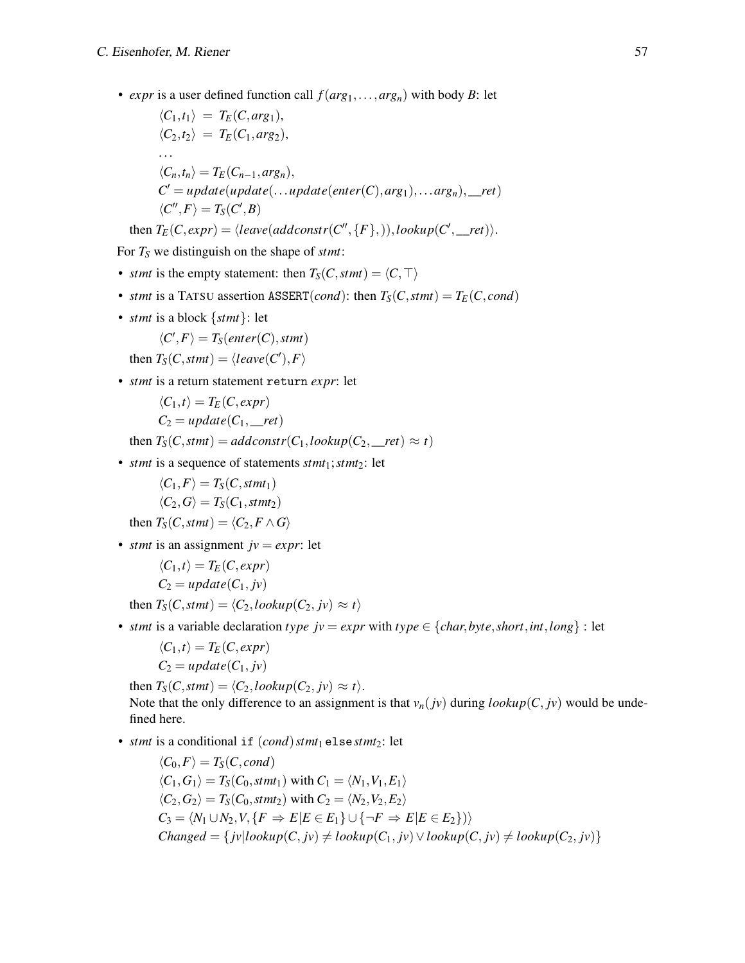• *expr* is a user defined function call  $f(arg_1,...,arg_n)$  with body *B*: let

$$
\langle C_1, t_1 \rangle = T_E(C, arg_1),
$$
  
\n
$$
\langle C_2, t_2 \rangle = T_E(C_1, arg_2),
$$
  
\n...  
\n
$$
\langle C_n, t_n \rangle = T_E(C_{n-1}, arg_n),
$$
  
\n
$$
C' = update(update(...update(enter(C), arg_1),...arg_n),_{\text{ref}})
$$
  
\n
$$
\langle C'', F \rangle = T_S(C', B)
$$
  
\nthen  $T_E(C, expr) = \langle leave(addconstr(C'', \{F\},)), lookup(C',_{\text{ref}}) \rangle.$ 

For *T<sup>S</sup>* we distinguish on the shape of *stmt*:

- *stmt* is the empty statement: then  $T_S(C, \text{stmt}) = \langle C, \top \rangle$
- *stmt* is a TATSU assertion ASSERT(*cond*): then  $T_S(C, \text{stmt}) = T_E(C, \text{cond})$
- *stmt* is a block {*stmt*}: let

$$
\langle C', F \rangle = T_S(enter(C),stm)
$$

then  $T_S(C, \text{stmt}) = \langle \text{leave}(C'), F \rangle$ 

• *stmt* is a return statement return *expr*: let

$$
\langle C_1, t \rangle = T_E(C, expr)
$$
  

$$
C_2 = update(C_1, -ret)
$$

then  $T_S(C, \text{stmt}) = \text{add} \text{const} \cdot r(C_1, \text{lookup}(C_2, \text{__} \text{ret}) \approx t)$ 

• *stmt* is a sequence of statements *stmt*<sub>1</sub>; *stmt*<sub>2</sub>: let

$$
\langle C_1, F \rangle = T_S(C, \mathit{stmt}_1)
$$
  

$$
\langle C_2, G \rangle = T_S(C_1, \mathit{stmt}_2)
$$

then  $T_S(C, \text{stm}) = \langle C_2, F \wedge G \rangle$ 

• *stmt* is an assignment  $jv = expr$ : let

$$
\langle C_1, t \rangle = T_E(C, expr)
$$
  

$$
C_2 = update(C_1, jv)
$$

then  $T_S(C, \text{stm}) = \langle C_2, \text{lookup}(C_2, \text{ jv}) \approx t \rangle$ 

• *stmt* is a variable declaration *type*  $jv = expr$  with *type*  $\in \{char, byte, short, int, long\}$ : let

$$
\langle C_1, t \rangle = T_E(C, expr)
$$
  

$$
C_2 = update(C_1, jv)
$$

then  $T_S(C, \text{stmt}) = \langle C_2, \text{lookup}(C_2, \text{ jv}) \approx t \rangle$ . Note that the only difference to an assignment is that  $v_n(jv)$  during  $lookup(C, jv)$  would be undefined here.

• *stmt* is a conditional if  $(cond)$ *stmt*<sub>1</sub> else*stmt*<sub>2</sub>: let

$$
\langle C_0, F \rangle = T_S(C, cond)
$$
  
\n
$$
\langle C_1, G_1 \rangle = T_S(C_0, \text{stm1}_1) \text{ with } C_1 = \langle N_1, V_1, E_1 \rangle
$$
  
\n
$$
\langle C_2, G_2 \rangle = T_S(C_0, \text{stm1}_2) \text{ with } C_2 = \langle N_2, V_2, E_2 \rangle
$$
  
\n
$$
C_3 = \langle N_1 \cup N_2, V, \{F \Rightarrow E | E \in E_1\} \cup \{\neg F \Rightarrow E | E \in E_2\} \rangle
$$
  
\n
$$
Changed = \{ jv | lookup(C, jv) \neq lookup(C_1, jv) \lor lookup(C, jv) \neq lookup(C_2, jv) \}
$$